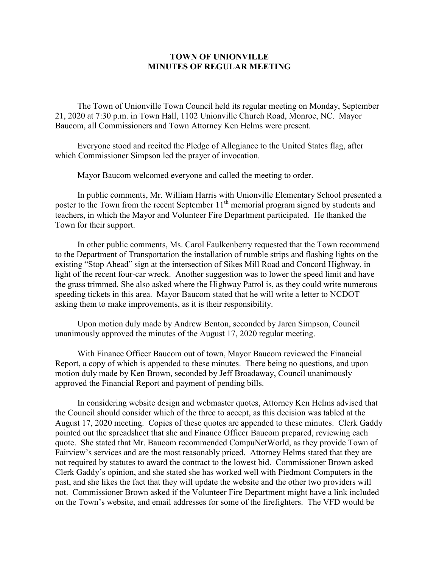## **TOWN OF UNIONVILLE MINUTES OF REGULAR MEETING**

The Town of Unionville Town Council held its regular meeting on Monday, September 21, 2020 at 7:30 p.m. in Town Hall, 1102 Unionville Church Road, Monroe, NC. Mayor Baucom, all Commissioners and Town Attorney Ken Helms were present.

Everyone stood and recited the Pledge of Allegiance to the United States flag, after which Commissioner Simpson led the prayer of invocation.

Mayor Baucom welcomed everyone and called the meeting to order.

In public comments, Mr. William Harris with Unionville Elementary School presented a poster to the Town from the recent September 11<sup>th</sup> memorial program signed by students and teachers, in which the Mayor and Volunteer Fire Department participated. He thanked the Town for their support.

In other public comments, Ms. Carol Faulkenberry requested that the Town recommend to the Department of Transportation the installation of rumble strips and flashing lights on the existing "Stop Ahead" sign at the intersection of Sikes Mill Road and Concord Highway, in light of the recent four-car wreck. Another suggestion was to lower the speed limit and have the grass trimmed. She also asked where the Highway Patrol is, as they could write numerous speeding tickets in this area. Mayor Baucom stated that he will write a letter to NCDOT asking them to make improvements, as it is their responsibility.

Upon motion duly made by Andrew Benton, seconded by Jaren Simpson, Council unanimously approved the minutes of the August 17, 2020 regular meeting.

With Finance Officer Baucom out of town, Mayor Baucom reviewed the Financial Report, a copy of which is appended to these minutes. There being no questions, and upon motion duly made by Ken Brown, seconded by Jeff Broadaway, Council unanimously approved the Financial Report and payment of pending bills.

In considering website design and webmaster quotes, Attorney Ken Helms advised that the Council should consider which of the three to accept, as this decision was tabled at the August 17, 2020 meeting. Copies of these quotes are appended to these minutes. Clerk Gaddy pointed out the spreadsheet that she and Finance Officer Baucom prepared, reviewing each quote. She stated that Mr. Baucom recommended CompuNetWorld, as they provide Town of Fairview's services and are the most reasonably priced. Attorney Helms stated that they are not required by statutes to award the contract to the lowest bid. Commissioner Brown asked Clerk Gaddy's opinion, and she stated she has worked well with Piedmont Computers in the past, and she likes the fact that they will update the website and the other two providers will not. Commissioner Brown asked if the Volunteer Fire Department might have a link included on the Town's website, and email addresses for some of the firefighters. The VFD would be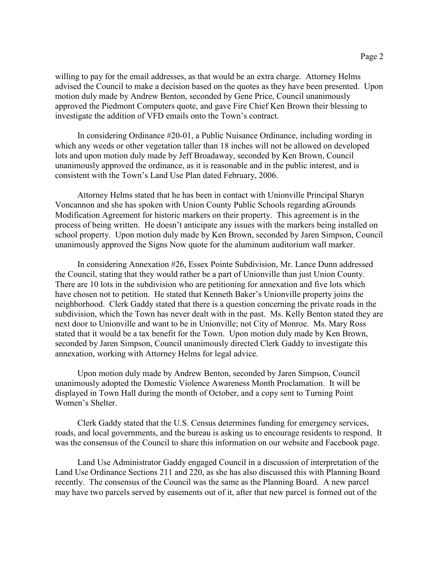willing to pay for the email addresses, as that would be an extra charge. Attorney Helms advised the Council to make a decision based on the quotes as they have been presented. Upon motion duly made by Andrew Benton, seconded by Gene Price, Council unanimously approved the Piedmont Computers quote, and gave Fire Chief Ken Brown their blessing to investigate the addition of VFD emails onto the Town's contract.

In considering Ordinance #20-01, a Public Nuisance Ordinance, including wording in which any weeds or other vegetation taller than 18 inches will not be allowed on developed lots and upon motion duly made by Jeff Broadaway, seconded by Ken Brown, Council unanimously approved the ordinance, as it is reasonable and in the public interest, and is consistent with the Town's Land Use Plan dated February, 2006.

Attorney Helms stated that he has been in contact with Unionville Principal Sharyn Voncannon and she has spoken with Union County Public Schools regarding aGrounds Modification Agreement for historic markers on their property. This agreement is in the process of being written. He doesn't anticipate any issues with the markers being installed on school property. Upon motion duly made by Ken Brown, seconded by Jaren Simpson, Council unanimously approved the Signs Now quote for the aluminum auditorium wall marker.

In considering Annexation #26, Essex Pointe Subdivision, Mr. Lance Dunn addressed the Council, stating that they would rather be a part of Unionville than just Union County. There are 10 lots in the subdivision who are petitioning for annexation and five lots which have chosen not to petition. He stated that Kenneth Baker's Unionville property joins the neighborhood. Clerk Gaddy stated that there is a question concerning the private roads in the subdivision, which the Town has never dealt with in the past. Ms. Kelly Benton stated they are next door to Unionville and want to be in Unionville; not City of Monroe. Ms. Mary Ross stated that it would be a tax benefit for the Town. Upon motion duly made by Ken Brown, seconded by Jaren Simpson, Council unanimously directed Clerk Gaddy to investigate this annexation, working with Attorney Helms for legal advice.

Upon motion duly made by Andrew Benton, seconded by Jaren Simpson, Council unanimously adopted the Domestic Violence Awareness Month Proclamation. It will be displayed in Town Hall during the month of October, and a copy sent to Turning Point Women's Shelter.

Clerk Gaddy stated that the U.S. Census determines funding for emergency services, roads, and local governments, and the bureau is asking us to encourage residents to respond. It was the consensus of the Council to share this information on our website and Facebook page.

Land Use Administrator Gaddy engaged Council in a discussion of interpretation of the Land Use Ordinance Sections 211 and 220, as she has also discussed this with Planning Board recently. The consensus of the Council was the same as the Planning Board. A new parcel may have two parcels served by easements out of it, after that new parcel is formed out of the